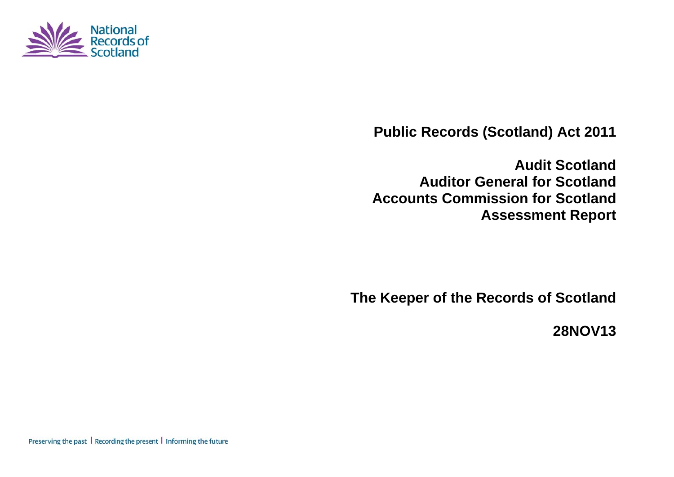

**Public Records (Scotland) Act 2011** 

**Audit Scotland Auditor General for Scotland Accounts Commission for Scotland Assessment Report** 

**The Keeper of the Records of Scotland** 

**28NOV13** 

Preserving the past | Recording the present | Informing the future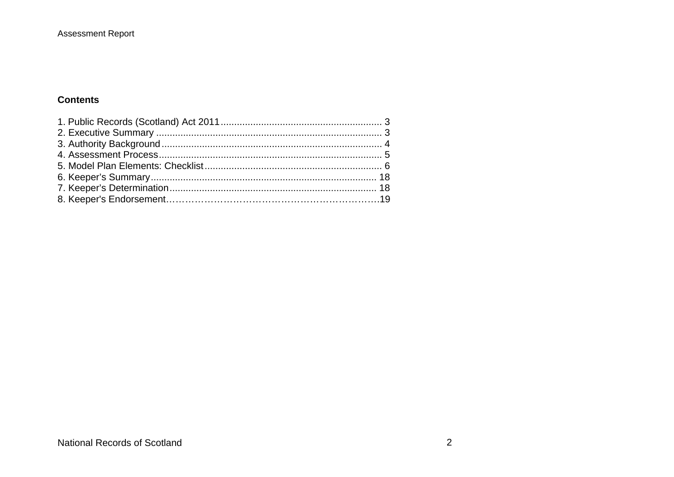#### **Assessment Report**

#### **Contents**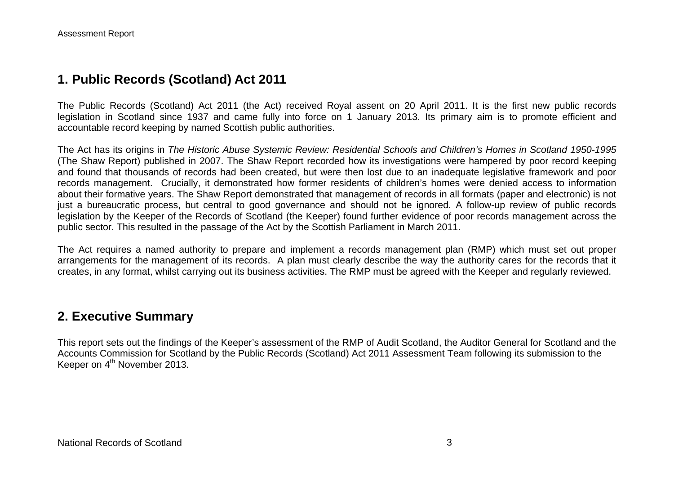### **1. Public Records (Scotland) Act 2011**

The Public Records (Scotland) Act 2011 (the Act) received Royal assent on 20 April 2011. It is the first new public records legislation in Scotland since 1937 and came fully into force on 1 January 2013. Its primary aim is to promote efficient and accountable record keeping by named Scottish public authorities.

The Act has its origins in *The Historic Abuse Systemic Review: Residential Schools and Children's Homes in Scotland 1950-1995* (The Shaw Report) published in 2007. The Shaw Report recorded how its investigations were hampered by poor record keeping and found that thousands of records had been created, but were then lost due to an inadequate legislative framework and poor records management. Crucially, it demonstrated how former residents of children's homes were denied access to information about their formative years. The Shaw Report demonstrated that management of records in all formats (paper and electronic) is not just a bureaucratic process, but central to good governance and should not be ignored. A follow-up review of public records legislation by the Keeper of the Records of Scotland (the Keeper) found further evidence of poor records management across the public sector. This resulted in the passage of the Act by the Scottish Parliament in March 2011.

The Act requires a named authority to prepare and implement a records management plan (RMP) which must set out proper arrangements for the management of its records. A plan must clearly describe the way the authority cares for the records that it creates, in any format, whilst carrying out its business activities. The RMP must be agreed with the Keeper and regularly reviewed.

#### **2. Executive Summary**

This report sets out the findings of the Keeper's assessment of the RMP of Audit Scotland, the Auditor General for Scotland and the Accounts Commission for Scotland by the Public Records (Scotland) Act 2011 Assessment Team following its submission to the Keeper on 4<sup>th</sup> November 2013.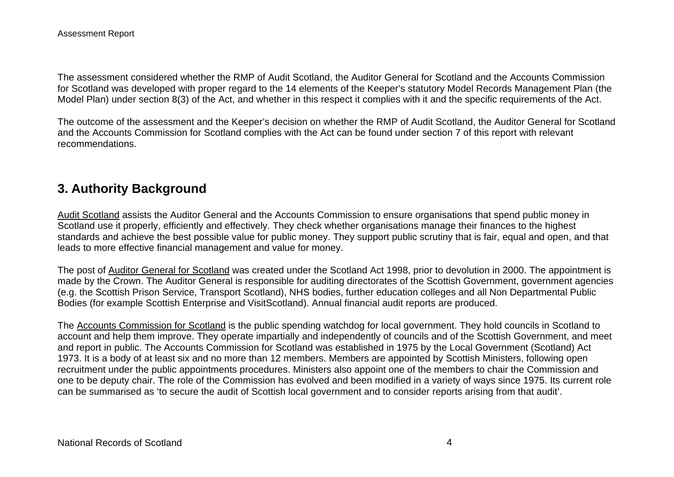The assessment considered whether the RMP of Audit Scotland, the Auditor General for Scotland and the Accounts Commission for Scotland was developed with proper regard to the 14 elements of the Keeper's statutory Model Records Management Plan (the Model Plan) under section 8(3) of the Act, and whether in this respect it complies with it and the specific requirements of the Act.

The outcome of the assessment and the Keeper's decision on whether the RMP of Audit Scotland, the Auditor General for Scotland and the Accounts Commission for Scotland complies with the Act can be found under section 7 of this report with relevant recommendations.

# **3. Authority Background**

Audit Scotland assists the Auditor General and the Accounts Commission to ensure organisations that spend public money in Scotland use it properly, efficiently and effectively. They check whether organisations manage their finances to the highest standards and achieve the best possible value for public money. They support public scrutiny that is fair, equal and open, and that leads to more effective financial management and value for money.

The post of Auditor General for Scotland was created under the Scotland Act 1998, prior to devolution in 2000. The appointment is made by the Crown. The Auditor General is responsible for auditing directorates of the Scottish Government, government agencies (e.g. the Scottish Prison Service, Transport Scotland), NHS bodies, further education colleges and all Non Departmental Public Bodies (for example Scottish Enterprise and VisitScotland). Annual financial audit reports are produced.

The Accounts Commission for Scotland is the public spending watchdog for local government. They hold councils in Scotland to account and help them improve. They operate impartially and independently of councils and of the Scottish Government, and meet and report in public. The Accounts Commission for Scotland was established in 1975 by the Local Government (Scotland) Act 1973. It is a body of at least six and no more than 12 members. Members are appointed by Scottish Ministers, following open recruitment under the public appointments procedures. Ministers also appoint one of the members to chair the Commission and one to be deputy chair. The role of the Commission has evolved and been modified in a variety of ways since 1975. Its current role can be summarised as 'to secure the audit of Scottish local government and to consider reports arising from that audit'.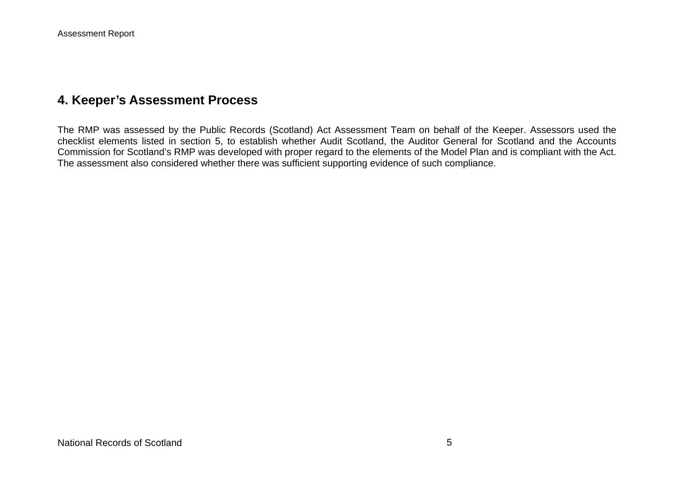## **4. Keeper's Assessment Process**

The RMP was assessed by the Public Records (Scotland) Act Assessment Team on behalf of the Keeper. Assessors used the checklist elements listed in section 5, to establish whether Audit Scotland, the Auditor General for Scotland and the Accounts Commission for Scotland's RMP was developed with proper regard to the elements of the Model Plan and is compliant with the Act. The assessment also considered whether there was sufficient supporting evidence of such compliance.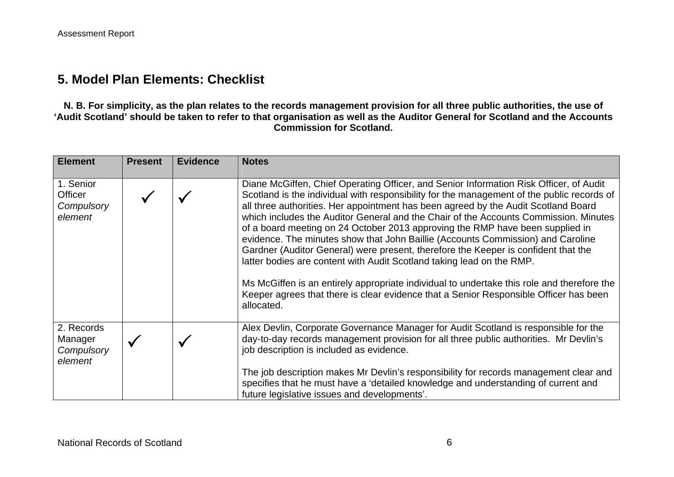### **5. Model Plan Elements: Checklist**

**N. B. For simplicity, as the plan relates to the records management provision for all three public authorities, the use of 'Audit Scotland' should be taken to refer to that organisation as well as the Auditor General for Scotland and the Accounts Commission for Scotland.** 

| <b>Element</b>                                       | <b>Present</b> | <b>Evidence</b> | <b>Notes</b>                                                                                                                                                                                                                                                                                                                                                                                                                                                                                                                                                                                                                                                                                                                                                                                                                                                                                               |
|------------------------------------------------------|----------------|-----------------|------------------------------------------------------------------------------------------------------------------------------------------------------------------------------------------------------------------------------------------------------------------------------------------------------------------------------------------------------------------------------------------------------------------------------------------------------------------------------------------------------------------------------------------------------------------------------------------------------------------------------------------------------------------------------------------------------------------------------------------------------------------------------------------------------------------------------------------------------------------------------------------------------------|
| 1. Senior<br><b>Officer</b><br>Compulsory<br>element |                |                 | Diane McGiffen, Chief Operating Officer, and Senior Information Risk Officer, of Audit<br>Scotland is the individual with responsibility for the management of the public records of<br>all three authorities. Her appointment has been agreed by the Audit Scotland Board<br>which includes the Auditor General and the Chair of the Accounts Commission. Minutes<br>of a board meeting on 24 October 2013 approving the RMP have been supplied in<br>evidence. The minutes show that John Baillie (Accounts Commission) and Caroline<br>Gardner (Auditor General) were present, therefore the Keeper is confident that the<br>latter bodies are content with Audit Scotland taking lead on the RMP.<br>Ms McGiffen is an entirely appropriate individual to undertake this role and therefore the<br>Keeper agrees that there is clear evidence that a Senior Responsible Officer has been<br>allocated. |
| 2. Records<br>Manager<br>Compulsory<br>element       |                |                 | Alex Devlin, Corporate Governance Manager for Audit Scotland is responsible for the<br>day-to-day records management provision for all three public authorities. Mr Devlin's<br>job description is included as evidence.<br>The job description makes Mr Devlin's responsibility for records management clear and                                                                                                                                                                                                                                                                                                                                                                                                                                                                                                                                                                                          |
|                                                      |                |                 | specifies that he must have a 'detailed knowledge and understanding of current and<br>future legislative issues and developments'.                                                                                                                                                                                                                                                                                                                                                                                                                                                                                                                                                                                                                                                                                                                                                                         |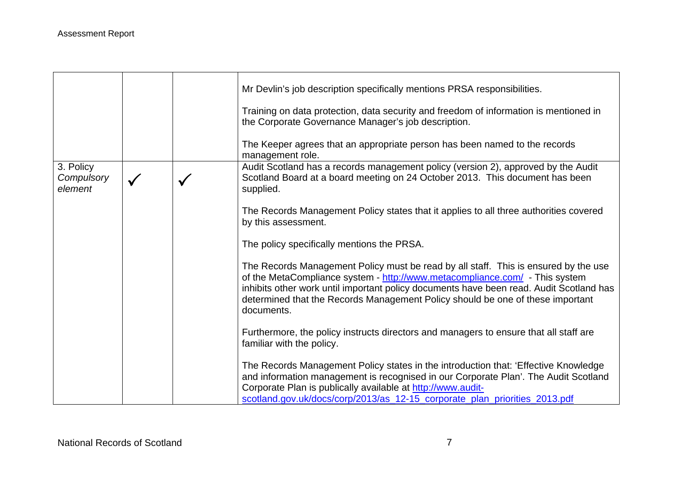|                                    |  | Mr Devlin's job description specifically mentions PRSA responsibilities.<br>Training on data protection, data security and freedom of information is mentioned in<br>the Corporate Governance Manager's job description.                                                                                                                                      |
|------------------------------------|--|---------------------------------------------------------------------------------------------------------------------------------------------------------------------------------------------------------------------------------------------------------------------------------------------------------------------------------------------------------------|
|                                    |  | The Keeper agrees that an appropriate person has been named to the records<br>management role.                                                                                                                                                                                                                                                                |
| 3. Policy<br>Compulsory<br>element |  | Audit Scotland has a records management policy (version 2), approved by the Audit<br>Scotland Board at a board meeting on 24 October 2013. This document has been<br>supplied.                                                                                                                                                                                |
|                                    |  | The Records Management Policy states that it applies to all three authorities covered<br>by this assessment.                                                                                                                                                                                                                                                  |
|                                    |  | The policy specifically mentions the PRSA.                                                                                                                                                                                                                                                                                                                    |
|                                    |  | The Records Management Policy must be read by all staff. This is ensured by the use<br>of the MetaCompliance system - http://www.metacompliance.com/ - This system<br>inhibits other work until important policy documents have been read. Audit Scotland has<br>determined that the Records Management Policy should be one of these important<br>documents. |
|                                    |  | Furthermore, the policy instructs directors and managers to ensure that all staff are<br>familiar with the policy.                                                                                                                                                                                                                                            |
|                                    |  | The Records Management Policy states in the introduction that: 'Effective Knowledge<br>and information management is recognised in our Corporate Plan'. The Audit Scotland<br>Corporate Plan is publically available at http://www.audit-<br>scotland.gov.uk/docs/corp/2013/as_12-15_corporate_plan_priorities_2013.pdf                                       |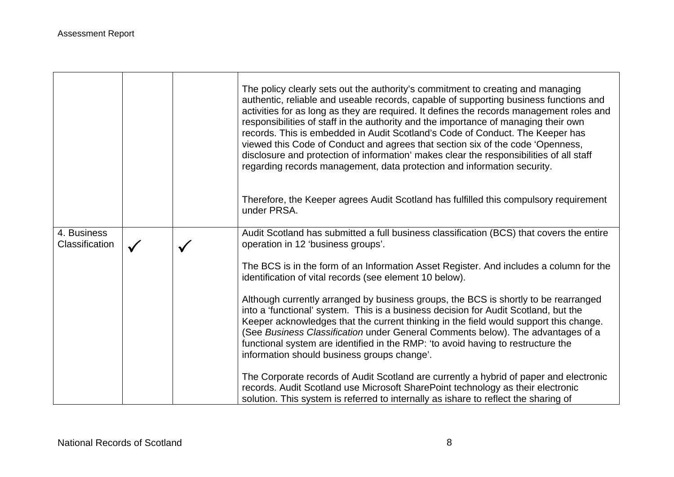|                               |              | The policy clearly sets out the authority's commitment to creating and managing<br>authentic, reliable and useable records, capable of supporting business functions and<br>activities for as long as they are required. It defines the records management roles and<br>responsibilities of staff in the authority and the importance of managing their own<br>records. This is embedded in Audit Scotland's Code of Conduct. The Keeper has<br>viewed this Code of Conduct and agrees that section six of the code 'Openness,<br>disclosure and protection of information' makes clear the responsibilities of all staff<br>regarding records management, data protection and information security. |
|-------------------------------|--------------|------------------------------------------------------------------------------------------------------------------------------------------------------------------------------------------------------------------------------------------------------------------------------------------------------------------------------------------------------------------------------------------------------------------------------------------------------------------------------------------------------------------------------------------------------------------------------------------------------------------------------------------------------------------------------------------------------|
|                               |              | Therefore, the Keeper agrees Audit Scotland has fulfilled this compulsory requirement<br>under PRSA.                                                                                                                                                                                                                                                                                                                                                                                                                                                                                                                                                                                                 |
| 4. Business<br>Classification | $\checkmark$ | Audit Scotland has submitted a full business classification (BCS) that covers the entire<br>operation in 12 'business groups'.                                                                                                                                                                                                                                                                                                                                                                                                                                                                                                                                                                       |
|                               |              | The BCS is in the form of an Information Asset Register. And includes a column for the<br>identification of vital records (see element 10 below).                                                                                                                                                                                                                                                                                                                                                                                                                                                                                                                                                    |
|                               |              | Although currently arranged by business groups, the BCS is shortly to be rearranged<br>into a 'functional' system. This is a business decision for Audit Scotland, but the<br>Keeper acknowledges that the current thinking in the field would support this change.<br>(See Business Classification under General Comments below). The advantages of a<br>functional system are identified in the RMP: 'to avoid having to restructure the<br>information should business groups change'.                                                                                                                                                                                                            |
|                               |              | The Corporate records of Audit Scotland are currently a hybrid of paper and electronic<br>records. Audit Scotland use Microsoft SharePoint technology as their electronic<br>solution. This system is referred to internally as ishare to reflect the sharing of                                                                                                                                                                                                                                                                                                                                                                                                                                     |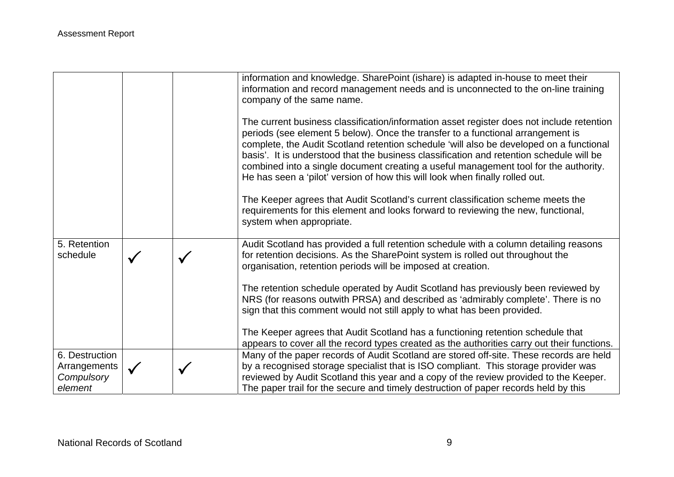|                                                         |  | information and knowledge. SharePoint (ishare) is adapted in-house to meet their<br>information and record management needs and is unconnected to the on-line training<br>company of the same name.                                                                                                                                                                                                                                                                                                                                         |
|---------------------------------------------------------|--|---------------------------------------------------------------------------------------------------------------------------------------------------------------------------------------------------------------------------------------------------------------------------------------------------------------------------------------------------------------------------------------------------------------------------------------------------------------------------------------------------------------------------------------------|
|                                                         |  | The current business classification/information asset register does not include retention<br>periods (see element 5 below). Once the transfer to a functional arrangement is<br>complete, the Audit Scotland retention schedule 'will also be developed on a functional<br>basis'. It is understood that the business classification and retention schedule will be<br>combined into a single document creating a useful management tool for the authority.<br>He has seen a 'pilot' version of how this will look when finally rolled out. |
|                                                         |  | The Keeper agrees that Audit Scotland's current classification scheme meets the<br>requirements for this element and looks forward to reviewing the new, functional,<br>system when appropriate.                                                                                                                                                                                                                                                                                                                                            |
| 5. Retention<br>schedule                                |  | Audit Scotland has provided a full retention schedule with a column detailing reasons<br>for retention decisions. As the SharePoint system is rolled out throughout the<br>organisation, retention periods will be imposed at creation.                                                                                                                                                                                                                                                                                                     |
|                                                         |  | The retention schedule operated by Audit Scotland has previously been reviewed by<br>NRS (for reasons outwith PRSA) and described as 'admirably complete'. There is no<br>sign that this comment would not still apply to what has been provided.                                                                                                                                                                                                                                                                                           |
|                                                         |  | The Keeper agrees that Audit Scotland has a functioning retention schedule that<br>appears to cover all the record types created as the authorities carry out their functions.                                                                                                                                                                                                                                                                                                                                                              |
| 6. Destruction<br>Arrangements<br>Compulsory<br>element |  | Many of the paper records of Audit Scotland are stored off-site. These records are held<br>by a recognised storage specialist that is ISO compliant. This storage provider was<br>reviewed by Audit Scotland this year and a copy of the review provided to the Keeper.<br>The paper trail for the secure and timely destruction of paper records held by this                                                                                                                                                                              |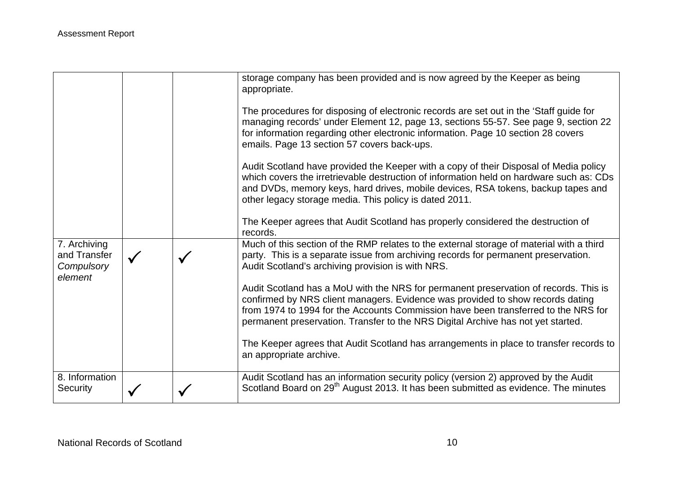|                                                       |  | storage company has been provided and is now agreed by the Keeper as being<br>appropriate.<br>The procedures for disposing of electronic records are set out in the 'Staff guide for<br>managing records' under Element 12, page 13, sections 55-57. See page 9, section 22<br>for information regarding other electronic information. Page 10 section 28 covers<br>emails. Page 13 section 57 covers back-ups.<br>Audit Scotland have provided the Keeper with a copy of their Disposal of Media policy<br>which covers the irretrievable destruction of information held on hardware such as: CDs<br>and DVDs, memory keys, hard drives, mobile devices, RSA tokens, backup tapes and<br>other legacy storage media. This policy is dated 2011.<br>The Keeper agrees that Audit Scotland has properly considered the destruction of<br>records. |
|-------------------------------------------------------|--|---------------------------------------------------------------------------------------------------------------------------------------------------------------------------------------------------------------------------------------------------------------------------------------------------------------------------------------------------------------------------------------------------------------------------------------------------------------------------------------------------------------------------------------------------------------------------------------------------------------------------------------------------------------------------------------------------------------------------------------------------------------------------------------------------------------------------------------------------|
| 7. Archiving<br>and Transfer<br>Compulsory<br>element |  | Much of this section of the RMP relates to the external storage of material with a third<br>party. This is a separate issue from archiving records for permanent preservation.<br>Audit Scotland's archiving provision is with NRS.<br>Audit Scotland has a MoU with the NRS for permanent preservation of records. This is<br>confirmed by NRS client managers. Evidence was provided to show records dating<br>from 1974 to 1994 for the Accounts Commission have been transferred to the NRS for<br>permanent preservation. Transfer to the NRS Digital Archive has not yet started.<br>The Keeper agrees that Audit Scotland has arrangements in place to transfer records to<br>an appropriate archive.                                                                                                                                      |
| 8. Information<br>Security                            |  | Audit Scotland has an information security policy (version 2) approved by the Audit<br>Scotland Board on 29 <sup>th</sup> August 2013. It has been submitted as evidence. The minutes                                                                                                                                                                                                                                                                                                                                                                                                                                                                                                                                                                                                                                                             |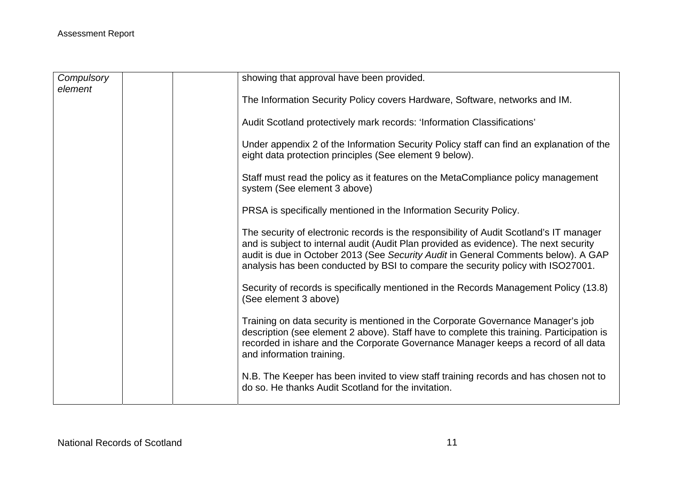| Compulsory<br>element | showing that approval have been provided.                                                                                                                                                                                                                                                                                                                  |
|-----------------------|------------------------------------------------------------------------------------------------------------------------------------------------------------------------------------------------------------------------------------------------------------------------------------------------------------------------------------------------------------|
|                       | The Information Security Policy covers Hardware, Software, networks and IM.                                                                                                                                                                                                                                                                                |
|                       | Audit Scotland protectively mark records: 'Information Classifications'                                                                                                                                                                                                                                                                                    |
|                       | Under appendix 2 of the Information Security Policy staff can find an explanation of the<br>eight data protection principles (See element 9 below).                                                                                                                                                                                                        |
|                       | Staff must read the policy as it features on the MetaCompliance policy management<br>system (See element 3 above)                                                                                                                                                                                                                                          |
|                       | PRSA is specifically mentioned in the Information Security Policy.                                                                                                                                                                                                                                                                                         |
|                       | The security of electronic records is the responsibility of Audit Scotland's IT manager<br>and is subject to internal audit (Audit Plan provided as evidence). The next security<br>audit is due in October 2013 (See Security Audit in General Comments below). A GAP<br>analysis has been conducted by BSI to compare the security policy with ISO27001. |
|                       | Security of records is specifically mentioned in the Records Management Policy (13.8)<br>(See element 3 above)                                                                                                                                                                                                                                             |
|                       | Training on data security is mentioned in the Corporate Governance Manager's job<br>description (see element 2 above). Staff have to complete this training. Participation is<br>recorded in ishare and the Corporate Governance Manager keeps a record of all data<br>and information training.                                                           |
|                       | N.B. The Keeper has been invited to view staff training records and has chosen not to<br>do so. He thanks Audit Scotland for the invitation.                                                                                                                                                                                                               |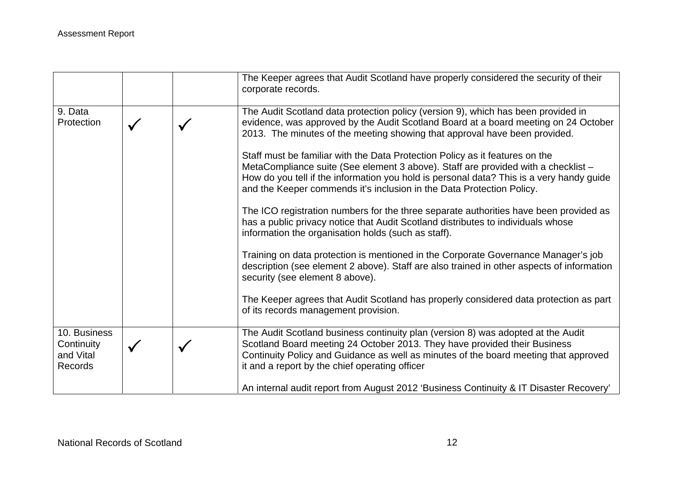|                                                           |              | The Keeper agrees that Audit Scotland have properly considered the security of their<br>corporate records.                                                                                                                                                                                                                             |
|-----------------------------------------------------------|--------------|----------------------------------------------------------------------------------------------------------------------------------------------------------------------------------------------------------------------------------------------------------------------------------------------------------------------------------------|
| 9. Data<br>Protection                                     |              | The Audit Scotland data protection policy (version 9), which has been provided in<br>evidence, was approved by the Audit Scotland Board at a board meeting on 24 October<br>2013. The minutes of the meeting showing that approval have been provided.                                                                                 |
|                                                           |              | Staff must be familiar with the Data Protection Policy as it features on the<br>MetaCompliance suite (See element 3 above). Staff are provided with a checklist -<br>How do you tell if the information you hold is personal data? This is a very handy guide<br>and the Keeper commends it's inclusion in the Data Protection Policy. |
|                                                           |              | The ICO registration numbers for the three separate authorities have been provided as<br>has a public privacy notice that Audit Scotland distributes to individuals whose<br>information the organisation holds (such as staff).                                                                                                       |
|                                                           |              | Training on data protection is mentioned in the Corporate Governance Manager's job<br>description (see element 2 above). Staff are also trained in other aspects of information<br>security (see element 8 above).                                                                                                                     |
|                                                           |              | The Keeper agrees that Audit Scotland has properly considered data protection as part<br>of its records management provision.                                                                                                                                                                                                          |
| 10. Business<br>Continuity<br>and Vital<br><b>Records</b> | $\checkmark$ | The Audit Scotland business continuity plan (version 8) was adopted at the Audit<br>Scotland Board meeting 24 October 2013. They have provided their Business<br>Continuity Policy and Guidance as well as minutes of the board meeting that approved<br>it and a report by the chief operating officer                                |
|                                                           |              | An internal audit report from August 2012 'Business Continuity & IT Disaster Recovery'                                                                                                                                                                                                                                                 |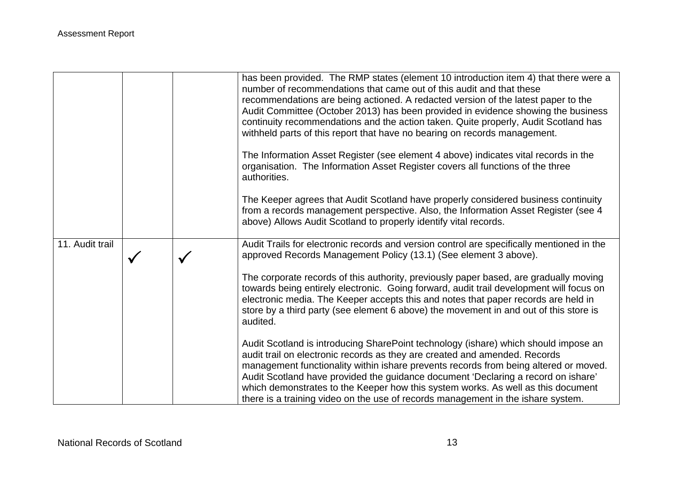|                 |  | has been provided. The RMP states (element 10 introduction item 4) that there were a<br>number of recommendations that came out of this audit and that these<br>recommendations are being actioned. A redacted version of the latest paper to the<br>Audit Committee (October 2013) has been provided in evidence showing the business<br>continuity recommendations and the action taken. Quite properly, Audit Scotland has<br>withheld parts of this report that have no bearing on records management.<br>The Information Asset Register (see element 4 above) indicates vital records in the                                   |
|-----------------|--|-------------------------------------------------------------------------------------------------------------------------------------------------------------------------------------------------------------------------------------------------------------------------------------------------------------------------------------------------------------------------------------------------------------------------------------------------------------------------------------------------------------------------------------------------------------------------------------------------------------------------------------|
|                 |  | organisation. The Information Asset Register covers all functions of the three<br>authorities.<br>The Keeper agrees that Audit Scotland have properly considered business continuity<br>from a records management perspective. Also, the Information Asset Register (see 4<br>above) Allows Audit Scotland to properly identify vital records.                                                                                                                                                                                                                                                                                      |
| 11. Audit trail |  | Audit Trails for electronic records and version control are specifically mentioned in the<br>approved Records Management Policy (13.1) (See element 3 above).<br>The corporate records of this authority, previously paper based, are gradually moving<br>towards being entirely electronic. Going forward, audit trail development will focus on<br>electronic media. The Keeper accepts this and notes that paper records are held in<br>store by a third party (see element 6 above) the movement in and out of this store is<br>audited.<br>Audit Scotland is introducing SharePoint technology (ishare) which should impose an |
|                 |  | audit trail on electronic records as they are created and amended. Records<br>management functionality within ishare prevents records from being altered or moved.<br>Audit Scotland have provided the guidance document 'Declaring a record on ishare'<br>which demonstrates to the Keeper how this system works. As well as this document<br>there is a training video on the use of records management in the ishare system.                                                                                                                                                                                                     |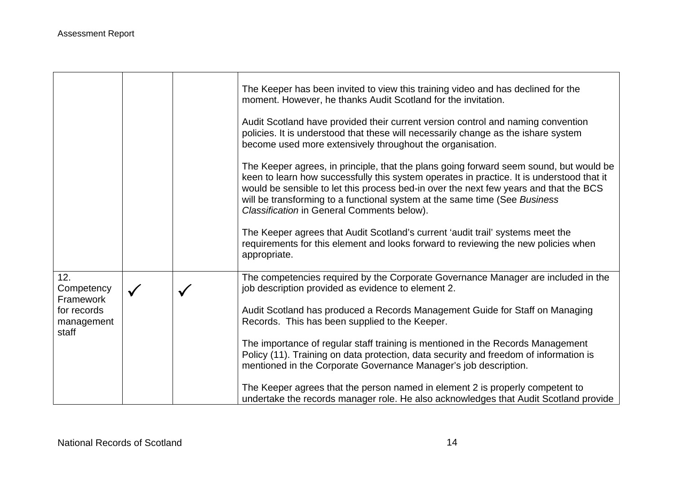|                                        |              | The Keeper has been invited to view this training video and has declined for the<br>moment. However, he thanks Audit Scotland for the invitation.                                                                                                                                                                                                                                                        |
|----------------------------------------|--------------|----------------------------------------------------------------------------------------------------------------------------------------------------------------------------------------------------------------------------------------------------------------------------------------------------------------------------------------------------------------------------------------------------------|
|                                        |              | Audit Scotland have provided their current version control and naming convention<br>policies. It is understood that these will necessarily change as the ishare system<br>become used more extensively throughout the organisation.                                                                                                                                                                      |
|                                        |              | The Keeper agrees, in principle, that the plans going forward seem sound, but would be<br>keen to learn how successfully this system operates in practice. It is understood that it<br>would be sensible to let this process bed-in over the next few years and that the BCS<br>will be transforming to a functional system at the same time (See Business<br>Classification in General Comments below). |
|                                        |              | The Keeper agrees that Audit Scotland's current 'audit trail' systems meet the<br>requirements for this element and looks forward to reviewing the new policies when<br>appropriate.                                                                                                                                                                                                                     |
| 12.<br>Competency                      | $\checkmark$ | The competencies required by the Corporate Governance Manager are included in the<br>job description provided as evidence to element 2.                                                                                                                                                                                                                                                                  |
| Framework<br>for records<br>management |              | Audit Scotland has produced a Records Management Guide for Staff on Managing<br>Records. This has been supplied to the Keeper.                                                                                                                                                                                                                                                                           |
| staff                                  |              | The importance of regular staff training is mentioned in the Records Management<br>Policy (11). Training on data protection, data security and freedom of information is<br>mentioned in the Corporate Governance Manager's job description.                                                                                                                                                             |
|                                        |              | The Keeper agrees that the person named in element 2 is properly competent to<br>undertake the records manager role. He also acknowledges that Audit Scotland provide                                                                                                                                                                                                                                    |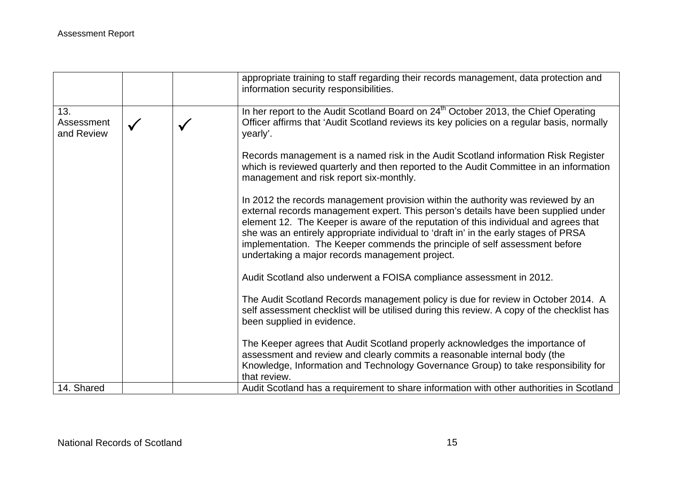|                                 |  | appropriate training to staff regarding their records management, data protection and<br>information security responsibilities.                                                                                                                                                                                                                                                                                                                                                          |
|---------------------------------|--|------------------------------------------------------------------------------------------------------------------------------------------------------------------------------------------------------------------------------------------------------------------------------------------------------------------------------------------------------------------------------------------------------------------------------------------------------------------------------------------|
| 13.<br>Assessment<br>and Review |  | In her report to the Audit Scotland Board on 24 <sup>th</sup> October 2013, the Chief Operating<br>Officer affirms that 'Audit Scotland reviews its key policies on a regular basis, normally<br>yearly'.                                                                                                                                                                                                                                                                                |
|                                 |  | Records management is a named risk in the Audit Scotland information Risk Register<br>which is reviewed quarterly and then reported to the Audit Committee in an information<br>management and risk report six-monthly.                                                                                                                                                                                                                                                                  |
|                                 |  | In 2012 the records management provision within the authority was reviewed by an<br>external records management expert. This person's details have been supplied under<br>element 12. The Keeper is aware of the reputation of this individual and agrees that<br>she was an entirely appropriate individual to 'draft in' in the early stages of PRSA<br>implementation. The Keeper commends the principle of self assessment before<br>undertaking a major records management project. |
|                                 |  | Audit Scotland also underwent a FOISA compliance assessment in 2012.                                                                                                                                                                                                                                                                                                                                                                                                                     |
|                                 |  | The Audit Scotland Records management policy is due for review in October 2014. A<br>self assessment checklist will be utilised during this review. A copy of the checklist has<br>been supplied in evidence.                                                                                                                                                                                                                                                                            |
|                                 |  | The Keeper agrees that Audit Scotland properly acknowledges the importance of<br>assessment and review and clearly commits a reasonable internal body (the<br>Knowledge, Information and Technology Governance Group) to take responsibility for<br>that review.                                                                                                                                                                                                                         |
| 14. Shared                      |  | Audit Scotland has a requirement to share information with other authorities in Scotland                                                                                                                                                                                                                                                                                                                                                                                                 |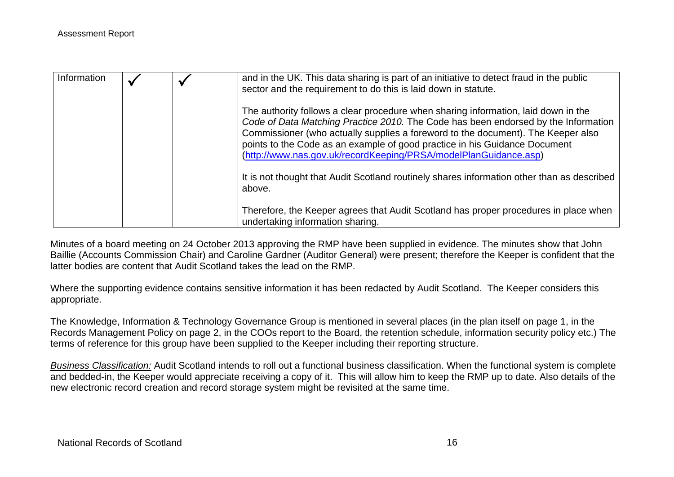| Information |  | and in the UK. This data sharing is part of an initiative to detect fraud in the public<br>sector and the requirement to do this is laid down in statute.                                                                                                                                                                                                                                                      |
|-------------|--|----------------------------------------------------------------------------------------------------------------------------------------------------------------------------------------------------------------------------------------------------------------------------------------------------------------------------------------------------------------------------------------------------------------|
|             |  | The authority follows a clear procedure when sharing information, laid down in the<br>Code of Data Matching Practice 2010. The Code has been endorsed by the Information<br>Commissioner (who actually supplies a foreword to the document). The Keeper also<br>points to the Code as an example of good practice in his Guidance Document<br>(http://www.nas.gov.uk/recordKeeping/PRSA/modelPlanGuidance.asp) |
|             |  | It is not thought that Audit Scotland routinely shares information other than as described<br>above.                                                                                                                                                                                                                                                                                                           |
|             |  | Therefore, the Keeper agrees that Audit Scotland has proper procedures in place when<br>undertaking information sharing.                                                                                                                                                                                                                                                                                       |

Minutes of a board meeting on 24 October 2013 approving the RMP have been supplied in evidence. The minutes show that John Baillie (Accounts Commission Chair) and Caroline Gardner (Auditor General) were present; therefore the Keeper is confident that the latter bodies are content that Audit Scotland takes the lead on the RMP.

Where the supporting evidence contains sensitive information it has been redacted by Audit Scotland. The Keeper considers this appropriate.

The Knowledge, Information & Technology Governance Group is mentioned in several places (in the plan itself on page 1, in the Records Management Policy on page 2, in the COOs report to the Board, the retention schedule, information security policy etc.) The terms of reference for this group have been supplied to the Keeper including their reporting structure.

*Business Classification:* Audit Scotland intends to roll out a functional business classification. When the functional system is complete and bedded-in, the Keeper would appreciate receiving a copy of it. This will allow him to keep the RMP up to date. Also details of the new electronic record creation and record storage system might be revisited at the same time.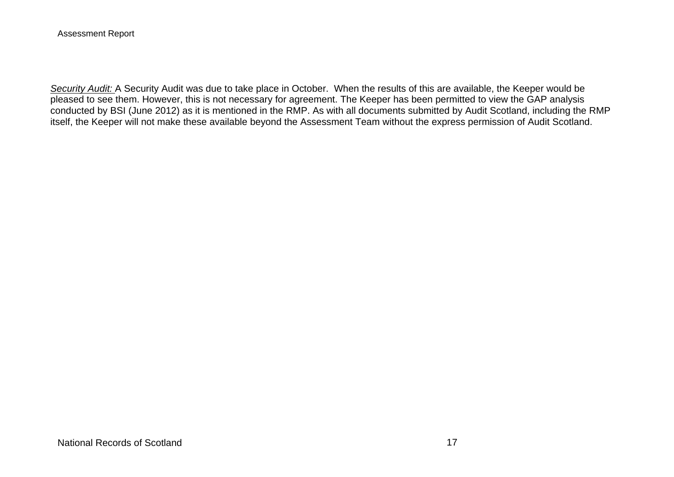Assessment Report

*Security Audit:* A Security Audit was due to take place in October. When the results of this are available, the Keeper would be pleased to see them. However, this is not necessary for agreement. The Keeper has been permitted to view the GAP analysis conducted by BSI (June 2012) as it is mentioned in the RMP. As with all documents submitted by Audit Scotland, including the RMP itself, the Keeper will not make these available beyond the Assessment Team without the express permission of Audit Scotland.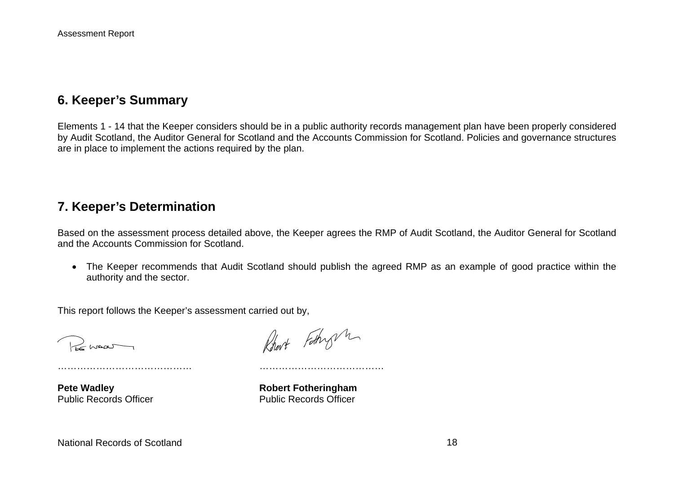## **6. Keeper's Summary**

Elements 1 - 14 that the Keeper considers should be in a public authority records management plan have been properly considered by Audit Scotland, the Auditor General for Scotland and the Accounts Commission for Scotland. Policies and governance structures are in place to implement the actions required by the plan.

#### **7. Keeper's Determination**

Based on the assessment process detailed above, the Keeper agrees the RMP of Audit Scotland, the Auditor General for Scotland and the Accounts Commission for Scotland.

 The Keeper recommends that Audit Scotland should publish the agreed RMP as an example of good practice within the authority and the sector.

This report follows the Keeper's assessment carried out by,

…………………………………… …………………………………

Bonna

Robert Fathry m

**Pete Wadley Constraining Pete Wadley Constraining Robert Fotheringham** Public Records Officer **Public Records Officer**